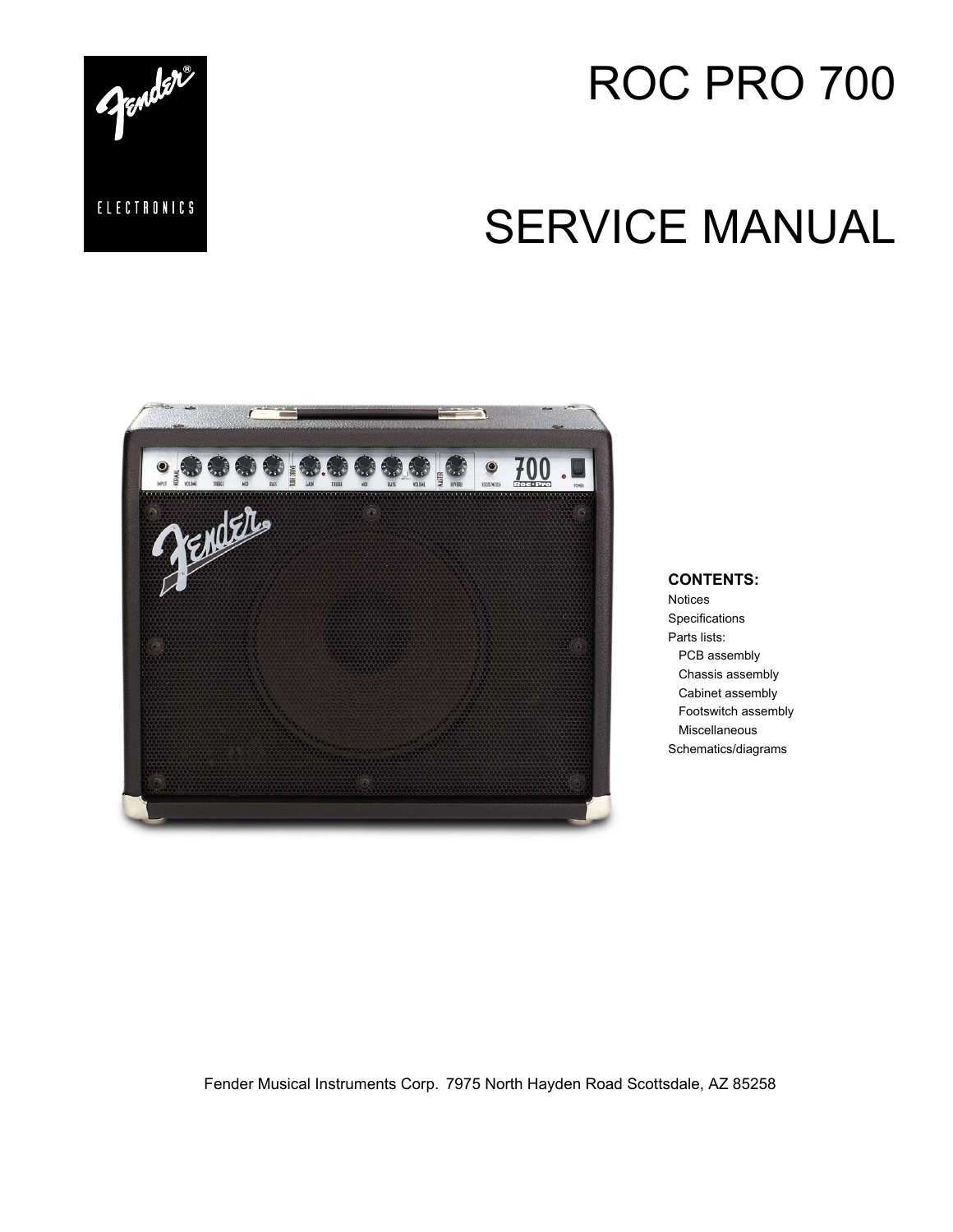

# ROC PRO 700

# SERVICE MANUAL



#### **CONTENTS:**

Notices **Specifications** Parts lists: PCB assembly Chassis assembly Cabinet assembly Footswitch assembly Miscellaneous Schematics/diagrams

Fender Musical Instruments Corp. 7975 North Hayden Road Scottsdale, AZ 85258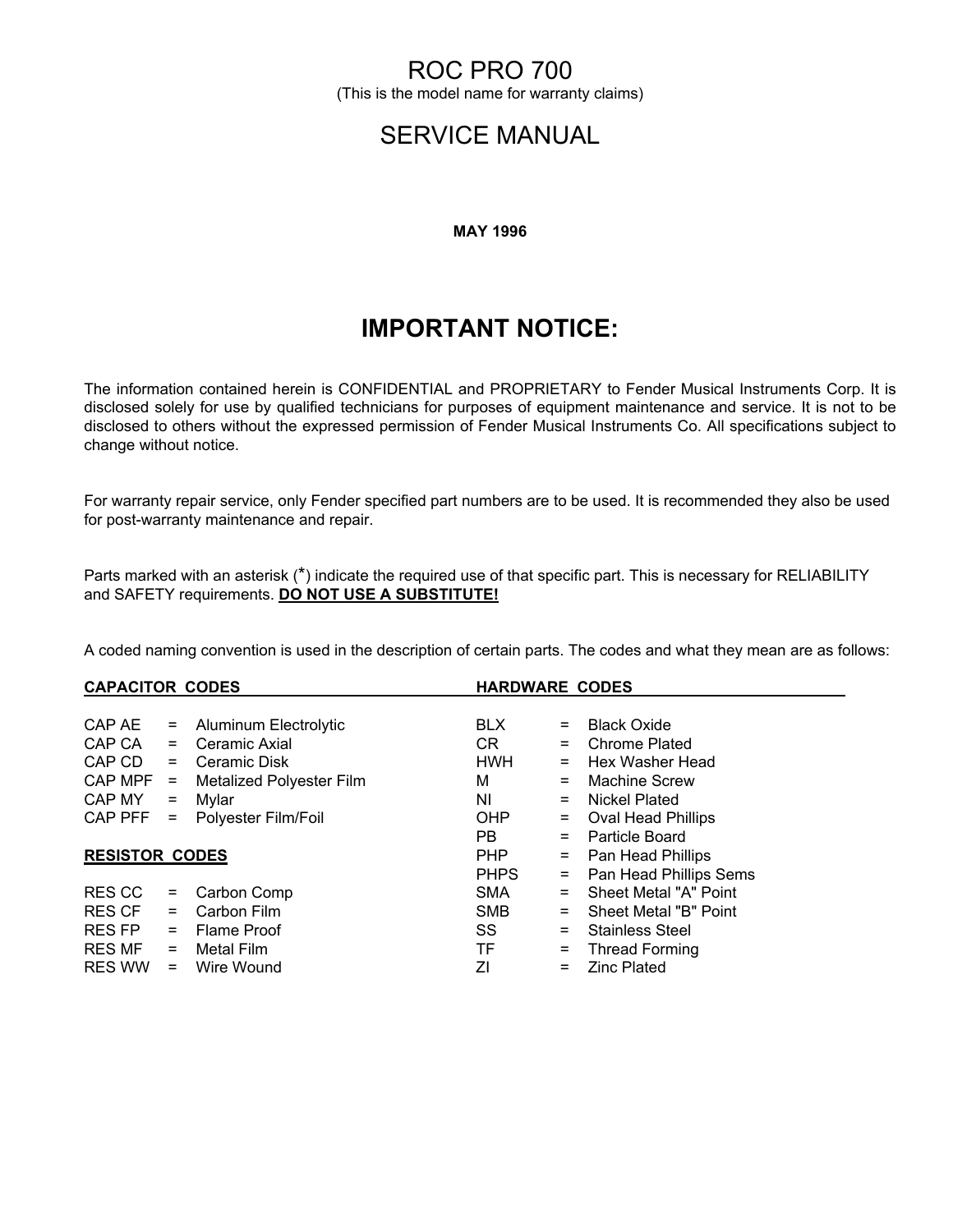## ROC PRO 700

(This is the model name for warranty claims)

## SERVICE MANUAL

#### **MAY 1996**

## **IMPORTANT NOTICE:**

The information contained herein is CONFIDENTIAL and PROPRIETARY to Fender Musical Instruments Corp. It is disclosed solely for use by qualified technicians for purposes of equipment maintenance and service. It is not to be disclosed to others without the expressed permission of Fender Musical Instruments Co. All specifications subject to change without notice.

For warranty repair service, only Fender specified part numbers are to be used. It is recommended they also be used for post-warranty maintenance and repair.

Parts marked with an asterisk (\*) indicate the required use of that specific part. This is necessary for RELIABILITY and SAFETY requirements. **DO NOT USE A SUBSTITUTE!**

A coded naming convention is used in the description of certain parts. The codes and what they mean are as follows:

| <b>CAPACITOR CODES</b> |          |                                 | <b>HARDWARE CODES</b> |          |                           |  |
|------------------------|----------|---------------------------------|-----------------------|----------|---------------------------|--|
|                        |          |                                 |                       |          |                           |  |
| CAP AE                 | $=$      | Aluminum Electrolytic           | <b>BLX</b>            | $=$      | <b>Black Oxide</b>        |  |
| CAP CA                 | $=$      | Ceramic Axial                   | CR.                   | $=$      | <b>Chrome Plated</b>      |  |
| CAP CD                 | $=$      | Ceramic Disk                    | <b>HWH</b>            | $=$      | Hex Washer Head           |  |
| CAP MPF                | $\equiv$ | <b>Metalized Polyester Film</b> | м                     | $=$      | Machine Screw             |  |
| CAP MY                 | $=$      | Mylar                           | ΝI                    | $=$      | Nickel Plated             |  |
| CAP PFF                | $=$      | Polyester Film/Foil             | <b>OHP</b>            | $=$      | <b>Oval Head Phillips</b> |  |
|                        |          |                                 | PB.                   | $\equiv$ | Particle Board            |  |
| <b>RESISTOR CODES</b>  |          |                                 | <b>PHP</b>            | $=$      | Pan Head Phillips         |  |
|                        |          |                                 | <b>PHPS</b>           | $\equiv$ | Pan Head Phillips Sems    |  |
| <b>RESCC</b>           | $\equiv$ | Carbon Comp                     | <b>SMA</b>            | $=$      | Sheet Metal "A" Point     |  |
| RES CF                 | $=$      | Carbon Film                     | <b>SMB</b>            | $=$      | Sheet Metal "B" Point     |  |
| RES FP                 | $=$      | Flame Proof                     | SS                    | $=$      | <b>Stainless Steel</b>    |  |
| <b>RES MF</b>          | $=$      | Metal Film                      | TF                    | $=$      | <b>Thread Forming</b>     |  |
| <b>RES WW</b>          | $=$      | Wire Wound                      | ΖI                    | $=$      | <b>Zinc Plated</b>        |  |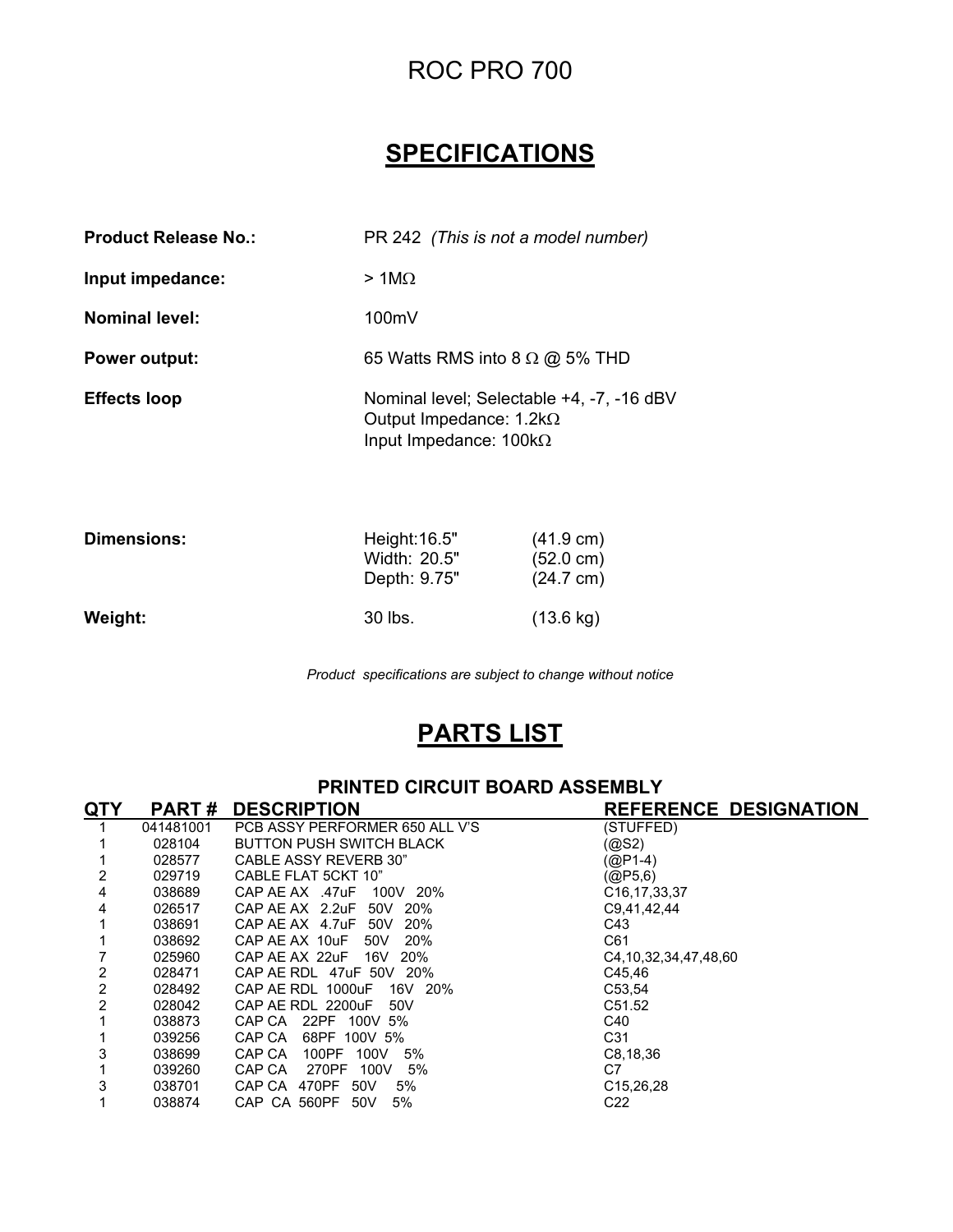# ROC PRO 700

# **SPECIFICATIONS**

| <b>Product Release No.:</b> | PR 242 (This is not a model number)                                                                          |
|-----------------------------|--------------------------------------------------------------------------------------------------------------|
| Input impedance:            | $>1$ M $\Omega$                                                                                              |
| <b>Nominal level:</b>       | 100mV                                                                                                        |
| <b>Power output:</b>        | 65 Watts RMS into 8 $\Omega$ @ 5% THD                                                                        |
| <b>Effects loop</b>         | Nominal level; Selectable +4, -7, -16 dBV<br>Output Impedance: $1.2k\Omega$<br>Input Impedance: $100k\Omega$ |

| Dimensions: | Height: 16.5"<br>Width: 20.5"<br>Depth: 9.75" | $(41.9 \text{ cm})$<br>$(52.0 \text{ cm})$<br>$(24.7 \text{ cm})$ |
|-------------|-----------------------------------------------|-------------------------------------------------------------------|
| Weight:     | 30 lbs.                                       | $(13.6 \text{ kg})$                                               |

*Product specifications are subject to change without notice*

# **PARTS LIST**

**PRINTED CIRCUIT BOARD ASSEMBLY**

| QTY | <b>PART#</b> | <b>DESCRIPTION</b>                   | <b>REFERENCE DESIGNATION</b> |
|-----|--------------|--------------------------------------|------------------------------|
|     | 041481001    | PCB ASSY PERFORMER 650 ALL V'S       | (STUFFED)                    |
|     | 028104       | <b>BUTTON PUSH SWITCH BLACK</b>      | (@S2)                        |
|     | 028577       | CABLE ASSY REVERB 30"                | $(QP1-4)$                    |
| 2   | 029719       | CABLE FLAT 5CKT 10"                  | (QP5, 6)                     |
| 4   | 038689       | CAP AE AX .47uF 100V 20%             | C <sub>16</sub> , 17, 33, 37 |
| 4   | 026517       | CAP AE AX 2.2uF 50V<br><b>20%</b>    | C9,41,42,44                  |
|     | 038691       | CAP AE AX 4.7uF<br>50V<br><b>20%</b> | C43                          |
|     | 038692       | 20%<br>50V<br>CAP AE AX 10uF         | C61                          |
|     | 025960       | CAP AE AX 22uF 16V<br>20%            | C4, 10, 32, 34, 47, 48, 60   |
| 2   | 028471       | CAP AE RDL 47uF 50V 20%              | C45.46                       |
| 2   | 028492       | CAP AE RDL 1000uF<br>16V 20%         | C53,54                       |
| 2   | 028042       | CAP AE RDL 2200uF<br>50V             | C51.52                       |
|     | 038873       | CAP CA<br>22PF 100V 5%               | C40                          |
|     | 039256       | CAP CA<br>68PF 100V 5%               | C <sub>31</sub>              |
| 3   | 038699       | 100PF<br>CAP CA<br>100V<br>5%        | C8, 18, 36                   |
|     | 039260       | 5%<br>CAP CA<br>270PF<br>100V        | C7                           |
| 3   | 038701       | CAP CA 470PF<br>50V<br>5%            | C <sub>15</sub> , 26, 28     |
|     | 038874       | 5%<br>CAP CA 560PF 50V               | C <sub>22</sub>              |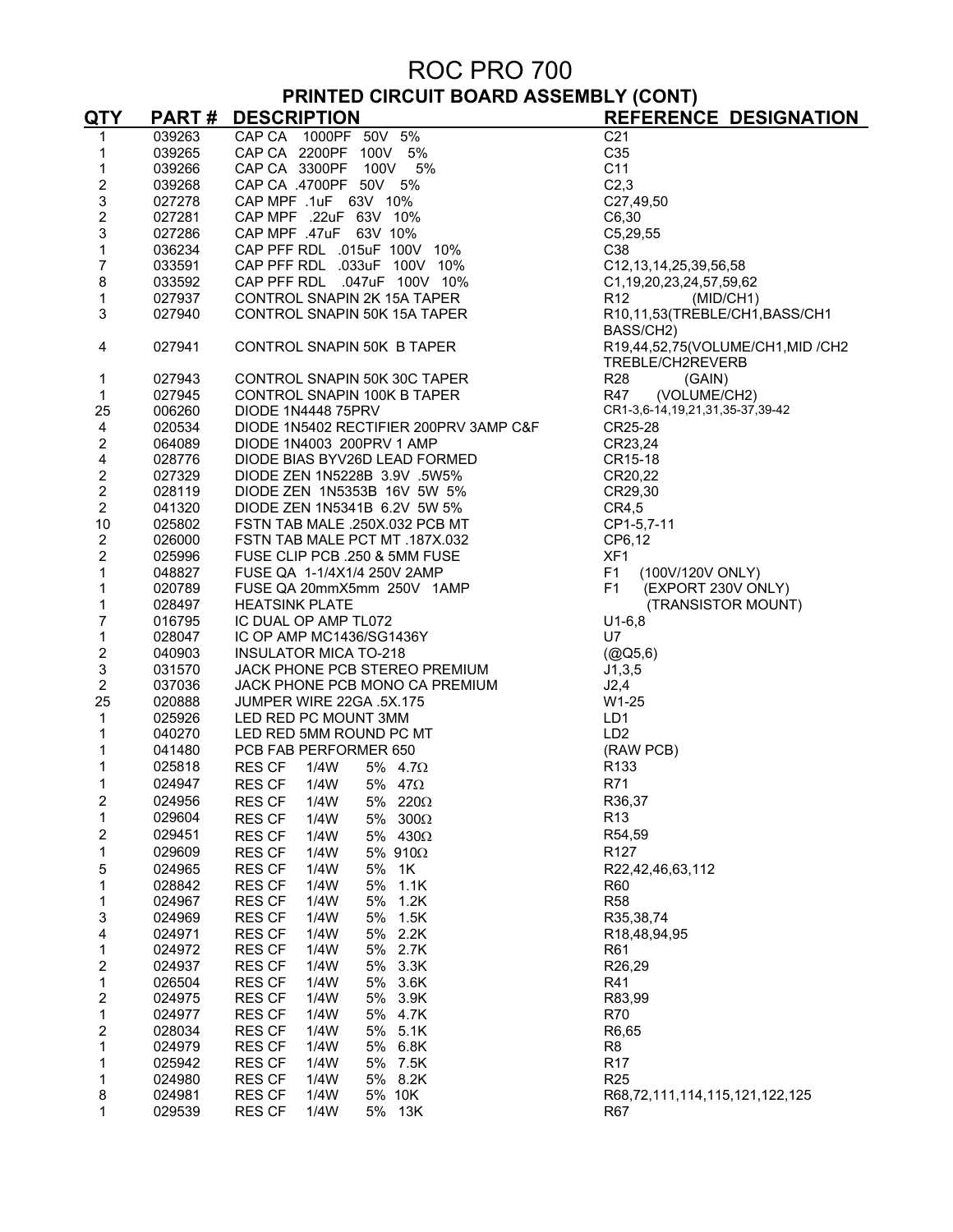# ROC PRO 700 **PRINTED CIRCUIT BOARD ASSEMBLY (CONT)**

| 039263<br>CAP CA 1000PF 50V 5%<br>C <sub>21</sub><br>$\mathbf{1}$<br>C35<br>1<br>039265<br>CAP CA 1000PF 50V 5%<br>CAP CA 2200PF 100V 5%<br>CAP CA 3300PF 100V 5%<br>CAP CA 4700PF 50V 5%<br>CAP MPF .1uF 63V 10%<br>CAP MPF .22uF 63V 10%<br>CAP MPF .47uF 63V 10%<br>CAP PFF RDL .015uF 100V 10%<br>CAP PFF RDL .033uF 100V 10%<br>CAP PF<br>C11<br>039266<br>1<br>$\boldsymbol{2}$<br>C <sub>2,3</sub><br>039268<br>$\mathsf 3$<br>C27,49,50<br>027278<br>$\boldsymbol{2}$<br>027281<br>C6,30<br>3<br>027286<br>C5, 29, 55<br>1<br>C <sub>38</sub><br>036234<br>$\overline{7}$<br>033591<br>C12, 13, 14, 25, 39, 56, 58<br>8<br>033592<br>C1, 19, 20, 23, 24, 57, 59, 62<br>1<br>027937<br>R <sub>12</sub><br>(MID/CH1)<br>3<br>027940<br>R10,11,53(TREBLE/CH1,BASS/CH1<br>BASS/CH2)<br>CONTROL SNAPIN 50K B TAPER<br>4<br>027941<br>R19,44,52,75(VOLUME/CH1,MID /CH2<br>TREBLE/CH2REVERB<br><b>R28</b><br>1<br>CONTROL SNAPIN 50K 30C TAPER<br>(GAIN)<br>027943<br>(VOLUME/CH2)<br>$\mathbf 1$<br>CONTROL SNAPIN 100K B TAPER<br>R47<br>027945<br>25<br>006260<br>CR1-3,6-14,19,21,31,35-37,39-42<br><b>DIODE 1N4448 75PRV</b><br>4<br>DIODE 1N5402 RECTIFIER 200PRV 3AMP C&F<br>CR25-28<br>020534<br>$\overline{c}$<br>DIODE 1N4003 200PRV 1 AMP<br>CR23,24<br>064089<br>$\overline{\mathbf{4}}$<br>DIODE BIAS BYV26D LEAD FORMED<br>CR15-18<br>028776<br>$\overline{\mathbf{c}}$<br>DIODE ZEN 1N5228B 3.9V .5W5%<br>DIODE ZEN 1N5353B 16V 5W 5%<br>DIODE ZEN 1N5341B 6.2V 5W 5%<br>FSTN TAB MALE .250X.032 PCB MT<br>027329<br>CR20,22<br>$\overline{2}$<br>CR29,30<br>028119<br>$\overline{c}$<br>041320<br>CR4,5<br>10<br>CP1-5,7-11<br>025802<br>$\overline{c}$<br>FSTN TAB MALE PCT MT .187X.032<br>026000<br>CP6,12<br>$\mathbf 2$<br>FUSE CLIP PCB .250 & 5MM FUSE<br>FUSE QA 1-1/4X1/4 250V 2AMP<br>FUSE QA 20mmX5mm 250V 1AMP<br>XF <sub>1</sub><br>025996<br>1<br>F <sub>1</sub><br>048827<br>(100V/120V ONLY)<br>$\mathbf{1}$<br>F <sub>1</sub><br>020789<br>(EXPORT 230V ONLY)<br>$\mathbf{1}$<br>028497<br><b>HEATSINK PLATE</b><br>(TRANSISTOR MOUNT)<br>$\overline{7}$<br>016795<br>IC DUAL OP AMP TL072<br>$U1-6,8$<br>$\mathbf 1$<br>IC OP AMP MC1436/SG1436Y<br>INSULATOR MICA TO-218<br>U7<br>028047<br>$\boldsymbol{2}$<br><b>INSULATOR MICA TO-218</b><br>040903<br>(QQ5, 6)<br>$\mathsf 3$<br>JACK PHONE PCB STEREO PREMIUM<br>031570<br>J1,3,5<br>$\overline{2}$<br>037036<br>JACK PHONE PCB MONO CA PREMIUM<br>J2,4<br>25<br>020888<br>JUMPER WIRE 22GA .5X.175<br>W1-25<br>$\mathbf{1}$<br>025926<br>LED RED PC MOUNT 3MM<br>LD1<br>1<br>LD <sub>2</sub><br>040270<br>LED RED 5MM ROUND PC MT<br>1<br>041480<br>PCB FAB PERFORMER 650<br>(RAW PCB)<br>1<br>R <sub>133</sub><br>025818<br><b>RES CF</b><br>1/4W<br>5% $4.7\Omega$<br>1<br>R71<br>024947<br><b>RES CF</b><br>1/4W<br>5% $47\Omega$<br>$\overline{2}$<br>024956<br>R36,37<br><b>RES CF</b><br>1/4W<br>5% 220 $\Omega$<br>1<br>R <sub>13</sub><br>029604<br><b>RES CF</b><br>1/4W<br>5%<br>$300\Omega$<br>2<br>029451<br><b>RES CF</b><br>5% $430\Omega$<br>R54,59<br>1/4W<br>$\mathbf 1$<br>R127<br>029609<br><b>RES CF</b><br>5% 910Ω<br>1/4W<br>5<br>024965<br><b>RES CF</b><br>1/4W<br>5%<br>1K<br>R22,42,46,63,112<br>1<br><b>RES CF</b><br>5%<br>1.1K<br>028842<br>1/4W<br>R <sub>60</sub><br>$\mathbf 1$<br><b>RES CF</b><br>1/4W<br>5%<br>1.2K<br><b>R58</b><br>024967<br>$\ensuremath{\mathsf{3}}$<br><b>RES CF</b><br>1/4W<br>5%<br>1.5K<br>R35,38,74<br>024969<br>$\overline{\mathbf{4}}$<br>024971<br><b>RES CF</b><br>1/4W<br>5% 2.2K<br>R <sub>18</sub> , 48, 94, 95<br>$\mathbf 1$<br><b>RES CF</b><br>1/4W<br>5%<br>2.7K<br>024972<br>R <sub>61</sub><br>$\boldsymbol{2}$<br>024937<br><b>RES CF</b><br>1/4W<br>5%<br>3.3K<br>R26,29<br>$\mathbf 1$<br><b>RES CF</b><br>3.6K<br>026504<br>1/4W<br>5%<br>R41<br>$\boldsymbol{2}$<br><b>RES CF</b><br>3.9K<br>024975<br>1/4W<br>5%<br>R83,99<br>$\mathbf 1$<br>024977<br><b>RES CF</b><br>1/4W<br>5%<br>4.7K<br>R70<br>$\boldsymbol{2}$<br>028034<br><b>RES CF</b><br>1/4W<br>5%<br>5.1K<br>R6,65<br>1<br>024979<br><b>RES CF</b><br>6.8K<br>1/4W<br>5%<br>R <sub>8</sub><br>1<br><b>RES CF</b><br>5%<br>025942<br>1/4W<br>7.5K<br>R <sub>17</sub><br>1<br>R <sub>25</sub><br>024980<br><b>RES CF</b><br>1/4W<br>5%<br>8.2K<br>8<br><b>RES CF</b><br>024981<br>5% 10K<br>1/4W<br>R68,72,111,114,115,121,122,125<br>1<br>029539<br><b>RES CF</b><br>1/4W<br>5% 13K<br><b>R67</b> | <u>QTY</u> | <b>PART#</b> | <b>DESCRIPTION</b> | <b>REFERENCE DESIGNATION</b> |
|-----------------------------------------------------------------------------------------------------------------------------------------------------------------------------------------------------------------------------------------------------------------------------------------------------------------------------------------------------------------------------------------------------------------------------------------------------------------------------------------------------------------------------------------------------------------------------------------------------------------------------------------------------------------------------------------------------------------------------------------------------------------------------------------------------------------------------------------------------------------------------------------------------------------------------------------------------------------------------------------------------------------------------------------------------------------------------------------------------------------------------------------------------------------------------------------------------------------------------------------------------------------------------------------------------------------------------------------------------------------------------------------------------------------------------------------------------------------------------------------------------------------------------------------------------------------------------------------------------------------------------------------------------------------------------------------------------------------------------------------------------------------------------------------------------------------------------------------------------------------------------------------------------------------------------------------------------------------------------------------------------------------------------------------------------------------------------------------------------------------------------------------------------------------------------------------------------------------------------------------------------------------------------------------------------------------------------------------------------------------------------------------------------------------------------------------------------------------------------------------------------------------------------------------------------------------------------------------------------------------------------------------------------------------------------------------------------------------------------------------------------------------------------------------------------------------------------------------------------------------------------------------------------------------------------------------------------------------------------------------------------------------------------------------------------------------------------------------------------------------------------------------------------------------------------------------------------------------------------------------------------------------------------------------------------------------------------------------------------------------------------------------------------------------------------------------------------------------------------------------------------------------------------------------------------------------------------------------------------------------------------------------------------------------------------------------------------------------------------------------------------------------------------------------------------------------------------------------------------------------------------------------------------------------------------------------------------------------------------------------------------------------------------------------------------------------------------------------------------------------------------------------------------------------------------------------------------------------------------------------------------------------------------------------------------------------------------------------------------------------------------------------------------------------------------------------|------------|--------------|--------------------|------------------------------|
|                                                                                                                                                                                                                                                                                                                                                                                                                                                                                                                                                                                                                                                                                                                                                                                                                                                                                                                                                                                                                                                                                                                                                                                                                                                                                                                                                                                                                                                                                                                                                                                                                                                                                                                                                                                                                                                                                                                                                                                                                                                                                                                                                                                                                                                                                                                                                                                                                                                                                                                                                                                                                                                                                                                                                                                                                                                                                                                                                                                                                                                                                                                                                                                                                                                                                                                                                                                                                                                                                                                                                                                                                                                                                                                                                                                                                                                                                                                                                                                                                                                                                                                                                                                                                                                                                                                                                                                                                                         |            |              |                    |                              |
|                                                                                                                                                                                                                                                                                                                                                                                                                                                                                                                                                                                                                                                                                                                                                                                                                                                                                                                                                                                                                                                                                                                                                                                                                                                                                                                                                                                                                                                                                                                                                                                                                                                                                                                                                                                                                                                                                                                                                                                                                                                                                                                                                                                                                                                                                                                                                                                                                                                                                                                                                                                                                                                                                                                                                                                                                                                                                                                                                                                                                                                                                                                                                                                                                                                                                                                                                                                                                                                                                                                                                                                                                                                                                                                                                                                                                                                                                                                                                                                                                                                                                                                                                                                                                                                                                                                                                                                                                                         |            |              |                    |                              |
|                                                                                                                                                                                                                                                                                                                                                                                                                                                                                                                                                                                                                                                                                                                                                                                                                                                                                                                                                                                                                                                                                                                                                                                                                                                                                                                                                                                                                                                                                                                                                                                                                                                                                                                                                                                                                                                                                                                                                                                                                                                                                                                                                                                                                                                                                                                                                                                                                                                                                                                                                                                                                                                                                                                                                                                                                                                                                                                                                                                                                                                                                                                                                                                                                                                                                                                                                                                                                                                                                                                                                                                                                                                                                                                                                                                                                                                                                                                                                                                                                                                                                                                                                                                                                                                                                                                                                                                                                                         |            |              |                    |                              |
|                                                                                                                                                                                                                                                                                                                                                                                                                                                                                                                                                                                                                                                                                                                                                                                                                                                                                                                                                                                                                                                                                                                                                                                                                                                                                                                                                                                                                                                                                                                                                                                                                                                                                                                                                                                                                                                                                                                                                                                                                                                                                                                                                                                                                                                                                                                                                                                                                                                                                                                                                                                                                                                                                                                                                                                                                                                                                                                                                                                                                                                                                                                                                                                                                                                                                                                                                                                                                                                                                                                                                                                                                                                                                                                                                                                                                                                                                                                                                                                                                                                                                                                                                                                                                                                                                                                                                                                                                                         |            |              |                    |                              |
|                                                                                                                                                                                                                                                                                                                                                                                                                                                                                                                                                                                                                                                                                                                                                                                                                                                                                                                                                                                                                                                                                                                                                                                                                                                                                                                                                                                                                                                                                                                                                                                                                                                                                                                                                                                                                                                                                                                                                                                                                                                                                                                                                                                                                                                                                                                                                                                                                                                                                                                                                                                                                                                                                                                                                                                                                                                                                                                                                                                                                                                                                                                                                                                                                                                                                                                                                                                                                                                                                                                                                                                                                                                                                                                                                                                                                                                                                                                                                                                                                                                                                                                                                                                                                                                                                                                                                                                                                                         |            |              |                    |                              |
|                                                                                                                                                                                                                                                                                                                                                                                                                                                                                                                                                                                                                                                                                                                                                                                                                                                                                                                                                                                                                                                                                                                                                                                                                                                                                                                                                                                                                                                                                                                                                                                                                                                                                                                                                                                                                                                                                                                                                                                                                                                                                                                                                                                                                                                                                                                                                                                                                                                                                                                                                                                                                                                                                                                                                                                                                                                                                                                                                                                                                                                                                                                                                                                                                                                                                                                                                                                                                                                                                                                                                                                                                                                                                                                                                                                                                                                                                                                                                                                                                                                                                                                                                                                                                                                                                                                                                                                                                                         |            |              |                    |                              |
|                                                                                                                                                                                                                                                                                                                                                                                                                                                                                                                                                                                                                                                                                                                                                                                                                                                                                                                                                                                                                                                                                                                                                                                                                                                                                                                                                                                                                                                                                                                                                                                                                                                                                                                                                                                                                                                                                                                                                                                                                                                                                                                                                                                                                                                                                                                                                                                                                                                                                                                                                                                                                                                                                                                                                                                                                                                                                                                                                                                                                                                                                                                                                                                                                                                                                                                                                                                                                                                                                                                                                                                                                                                                                                                                                                                                                                                                                                                                                                                                                                                                                                                                                                                                                                                                                                                                                                                                                                         |            |              |                    |                              |
|                                                                                                                                                                                                                                                                                                                                                                                                                                                                                                                                                                                                                                                                                                                                                                                                                                                                                                                                                                                                                                                                                                                                                                                                                                                                                                                                                                                                                                                                                                                                                                                                                                                                                                                                                                                                                                                                                                                                                                                                                                                                                                                                                                                                                                                                                                                                                                                                                                                                                                                                                                                                                                                                                                                                                                                                                                                                                                                                                                                                                                                                                                                                                                                                                                                                                                                                                                                                                                                                                                                                                                                                                                                                                                                                                                                                                                                                                                                                                                                                                                                                                                                                                                                                                                                                                                                                                                                                                                         |            |              |                    |                              |
|                                                                                                                                                                                                                                                                                                                                                                                                                                                                                                                                                                                                                                                                                                                                                                                                                                                                                                                                                                                                                                                                                                                                                                                                                                                                                                                                                                                                                                                                                                                                                                                                                                                                                                                                                                                                                                                                                                                                                                                                                                                                                                                                                                                                                                                                                                                                                                                                                                                                                                                                                                                                                                                                                                                                                                                                                                                                                                                                                                                                                                                                                                                                                                                                                                                                                                                                                                                                                                                                                                                                                                                                                                                                                                                                                                                                                                                                                                                                                                                                                                                                                                                                                                                                                                                                                                                                                                                                                                         |            |              |                    |                              |
|                                                                                                                                                                                                                                                                                                                                                                                                                                                                                                                                                                                                                                                                                                                                                                                                                                                                                                                                                                                                                                                                                                                                                                                                                                                                                                                                                                                                                                                                                                                                                                                                                                                                                                                                                                                                                                                                                                                                                                                                                                                                                                                                                                                                                                                                                                                                                                                                                                                                                                                                                                                                                                                                                                                                                                                                                                                                                                                                                                                                                                                                                                                                                                                                                                                                                                                                                                                                                                                                                                                                                                                                                                                                                                                                                                                                                                                                                                                                                                                                                                                                                                                                                                                                                                                                                                                                                                                                                                         |            |              |                    |                              |
|                                                                                                                                                                                                                                                                                                                                                                                                                                                                                                                                                                                                                                                                                                                                                                                                                                                                                                                                                                                                                                                                                                                                                                                                                                                                                                                                                                                                                                                                                                                                                                                                                                                                                                                                                                                                                                                                                                                                                                                                                                                                                                                                                                                                                                                                                                                                                                                                                                                                                                                                                                                                                                                                                                                                                                                                                                                                                                                                                                                                                                                                                                                                                                                                                                                                                                                                                                                                                                                                                                                                                                                                                                                                                                                                                                                                                                                                                                                                                                                                                                                                                                                                                                                                                                                                                                                                                                                                                                         |            |              |                    |                              |
|                                                                                                                                                                                                                                                                                                                                                                                                                                                                                                                                                                                                                                                                                                                                                                                                                                                                                                                                                                                                                                                                                                                                                                                                                                                                                                                                                                                                                                                                                                                                                                                                                                                                                                                                                                                                                                                                                                                                                                                                                                                                                                                                                                                                                                                                                                                                                                                                                                                                                                                                                                                                                                                                                                                                                                                                                                                                                                                                                                                                                                                                                                                                                                                                                                                                                                                                                                                                                                                                                                                                                                                                                                                                                                                                                                                                                                                                                                                                                                                                                                                                                                                                                                                                                                                                                                                                                                                                                                         |            |              |                    |                              |
|                                                                                                                                                                                                                                                                                                                                                                                                                                                                                                                                                                                                                                                                                                                                                                                                                                                                                                                                                                                                                                                                                                                                                                                                                                                                                                                                                                                                                                                                                                                                                                                                                                                                                                                                                                                                                                                                                                                                                                                                                                                                                                                                                                                                                                                                                                                                                                                                                                                                                                                                                                                                                                                                                                                                                                                                                                                                                                                                                                                                                                                                                                                                                                                                                                                                                                                                                                                                                                                                                                                                                                                                                                                                                                                                                                                                                                                                                                                                                                                                                                                                                                                                                                                                                                                                                                                                                                                                                                         |            |              |                    |                              |
|                                                                                                                                                                                                                                                                                                                                                                                                                                                                                                                                                                                                                                                                                                                                                                                                                                                                                                                                                                                                                                                                                                                                                                                                                                                                                                                                                                                                                                                                                                                                                                                                                                                                                                                                                                                                                                                                                                                                                                                                                                                                                                                                                                                                                                                                                                                                                                                                                                                                                                                                                                                                                                                                                                                                                                                                                                                                                                                                                                                                                                                                                                                                                                                                                                                                                                                                                                                                                                                                                                                                                                                                                                                                                                                                                                                                                                                                                                                                                                                                                                                                                                                                                                                                                                                                                                                                                                                                                                         |            |              |                    |                              |
|                                                                                                                                                                                                                                                                                                                                                                                                                                                                                                                                                                                                                                                                                                                                                                                                                                                                                                                                                                                                                                                                                                                                                                                                                                                                                                                                                                                                                                                                                                                                                                                                                                                                                                                                                                                                                                                                                                                                                                                                                                                                                                                                                                                                                                                                                                                                                                                                                                                                                                                                                                                                                                                                                                                                                                                                                                                                                                                                                                                                                                                                                                                                                                                                                                                                                                                                                                                                                                                                                                                                                                                                                                                                                                                                                                                                                                                                                                                                                                                                                                                                                                                                                                                                                                                                                                                                                                                                                                         |            |              |                    |                              |
|                                                                                                                                                                                                                                                                                                                                                                                                                                                                                                                                                                                                                                                                                                                                                                                                                                                                                                                                                                                                                                                                                                                                                                                                                                                                                                                                                                                                                                                                                                                                                                                                                                                                                                                                                                                                                                                                                                                                                                                                                                                                                                                                                                                                                                                                                                                                                                                                                                                                                                                                                                                                                                                                                                                                                                                                                                                                                                                                                                                                                                                                                                                                                                                                                                                                                                                                                                                                                                                                                                                                                                                                                                                                                                                                                                                                                                                                                                                                                                                                                                                                                                                                                                                                                                                                                                                                                                                                                                         |            |              |                    |                              |
|                                                                                                                                                                                                                                                                                                                                                                                                                                                                                                                                                                                                                                                                                                                                                                                                                                                                                                                                                                                                                                                                                                                                                                                                                                                                                                                                                                                                                                                                                                                                                                                                                                                                                                                                                                                                                                                                                                                                                                                                                                                                                                                                                                                                                                                                                                                                                                                                                                                                                                                                                                                                                                                                                                                                                                                                                                                                                                                                                                                                                                                                                                                                                                                                                                                                                                                                                                                                                                                                                                                                                                                                                                                                                                                                                                                                                                                                                                                                                                                                                                                                                                                                                                                                                                                                                                                                                                                                                                         |            |              |                    |                              |
|                                                                                                                                                                                                                                                                                                                                                                                                                                                                                                                                                                                                                                                                                                                                                                                                                                                                                                                                                                                                                                                                                                                                                                                                                                                                                                                                                                                                                                                                                                                                                                                                                                                                                                                                                                                                                                                                                                                                                                                                                                                                                                                                                                                                                                                                                                                                                                                                                                                                                                                                                                                                                                                                                                                                                                                                                                                                                                                                                                                                                                                                                                                                                                                                                                                                                                                                                                                                                                                                                                                                                                                                                                                                                                                                                                                                                                                                                                                                                                                                                                                                                                                                                                                                                                                                                                                                                                                                                                         |            |              |                    |                              |
|                                                                                                                                                                                                                                                                                                                                                                                                                                                                                                                                                                                                                                                                                                                                                                                                                                                                                                                                                                                                                                                                                                                                                                                                                                                                                                                                                                                                                                                                                                                                                                                                                                                                                                                                                                                                                                                                                                                                                                                                                                                                                                                                                                                                                                                                                                                                                                                                                                                                                                                                                                                                                                                                                                                                                                                                                                                                                                                                                                                                                                                                                                                                                                                                                                                                                                                                                                                                                                                                                                                                                                                                                                                                                                                                                                                                                                                                                                                                                                                                                                                                                                                                                                                                                                                                                                                                                                                                                                         |            |              |                    |                              |
|                                                                                                                                                                                                                                                                                                                                                                                                                                                                                                                                                                                                                                                                                                                                                                                                                                                                                                                                                                                                                                                                                                                                                                                                                                                                                                                                                                                                                                                                                                                                                                                                                                                                                                                                                                                                                                                                                                                                                                                                                                                                                                                                                                                                                                                                                                                                                                                                                                                                                                                                                                                                                                                                                                                                                                                                                                                                                                                                                                                                                                                                                                                                                                                                                                                                                                                                                                                                                                                                                                                                                                                                                                                                                                                                                                                                                                                                                                                                                                                                                                                                                                                                                                                                                                                                                                                                                                                                                                         |            |              |                    |                              |
|                                                                                                                                                                                                                                                                                                                                                                                                                                                                                                                                                                                                                                                                                                                                                                                                                                                                                                                                                                                                                                                                                                                                                                                                                                                                                                                                                                                                                                                                                                                                                                                                                                                                                                                                                                                                                                                                                                                                                                                                                                                                                                                                                                                                                                                                                                                                                                                                                                                                                                                                                                                                                                                                                                                                                                                                                                                                                                                                                                                                                                                                                                                                                                                                                                                                                                                                                                                                                                                                                                                                                                                                                                                                                                                                                                                                                                                                                                                                                                                                                                                                                                                                                                                                                                                                                                                                                                                                                                         |            |              |                    |                              |
|                                                                                                                                                                                                                                                                                                                                                                                                                                                                                                                                                                                                                                                                                                                                                                                                                                                                                                                                                                                                                                                                                                                                                                                                                                                                                                                                                                                                                                                                                                                                                                                                                                                                                                                                                                                                                                                                                                                                                                                                                                                                                                                                                                                                                                                                                                                                                                                                                                                                                                                                                                                                                                                                                                                                                                                                                                                                                                                                                                                                                                                                                                                                                                                                                                                                                                                                                                                                                                                                                                                                                                                                                                                                                                                                                                                                                                                                                                                                                                                                                                                                                                                                                                                                                                                                                                                                                                                                                                         |            |              |                    |                              |
|                                                                                                                                                                                                                                                                                                                                                                                                                                                                                                                                                                                                                                                                                                                                                                                                                                                                                                                                                                                                                                                                                                                                                                                                                                                                                                                                                                                                                                                                                                                                                                                                                                                                                                                                                                                                                                                                                                                                                                                                                                                                                                                                                                                                                                                                                                                                                                                                                                                                                                                                                                                                                                                                                                                                                                                                                                                                                                                                                                                                                                                                                                                                                                                                                                                                                                                                                                                                                                                                                                                                                                                                                                                                                                                                                                                                                                                                                                                                                                                                                                                                                                                                                                                                                                                                                                                                                                                                                                         |            |              |                    |                              |
|                                                                                                                                                                                                                                                                                                                                                                                                                                                                                                                                                                                                                                                                                                                                                                                                                                                                                                                                                                                                                                                                                                                                                                                                                                                                                                                                                                                                                                                                                                                                                                                                                                                                                                                                                                                                                                                                                                                                                                                                                                                                                                                                                                                                                                                                                                                                                                                                                                                                                                                                                                                                                                                                                                                                                                                                                                                                                                                                                                                                                                                                                                                                                                                                                                                                                                                                                                                                                                                                                                                                                                                                                                                                                                                                                                                                                                                                                                                                                                                                                                                                                                                                                                                                                                                                                                                                                                                                                                         |            |              |                    |                              |
|                                                                                                                                                                                                                                                                                                                                                                                                                                                                                                                                                                                                                                                                                                                                                                                                                                                                                                                                                                                                                                                                                                                                                                                                                                                                                                                                                                                                                                                                                                                                                                                                                                                                                                                                                                                                                                                                                                                                                                                                                                                                                                                                                                                                                                                                                                                                                                                                                                                                                                                                                                                                                                                                                                                                                                                                                                                                                                                                                                                                                                                                                                                                                                                                                                                                                                                                                                                                                                                                                                                                                                                                                                                                                                                                                                                                                                                                                                                                                                                                                                                                                                                                                                                                                                                                                                                                                                                                                                         |            |              |                    |                              |
|                                                                                                                                                                                                                                                                                                                                                                                                                                                                                                                                                                                                                                                                                                                                                                                                                                                                                                                                                                                                                                                                                                                                                                                                                                                                                                                                                                                                                                                                                                                                                                                                                                                                                                                                                                                                                                                                                                                                                                                                                                                                                                                                                                                                                                                                                                                                                                                                                                                                                                                                                                                                                                                                                                                                                                                                                                                                                                                                                                                                                                                                                                                                                                                                                                                                                                                                                                                                                                                                                                                                                                                                                                                                                                                                                                                                                                                                                                                                                                                                                                                                                                                                                                                                                                                                                                                                                                                                                                         |            |              |                    |                              |
|                                                                                                                                                                                                                                                                                                                                                                                                                                                                                                                                                                                                                                                                                                                                                                                                                                                                                                                                                                                                                                                                                                                                                                                                                                                                                                                                                                                                                                                                                                                                                                                                                                                                                                                                                                                                                                                                                                                                                                                                                                                                                                                                                                                                                                                                                                                                                                                                                                                                                                                                                                                                                                                                                                                                                                                                                                                                                                                                                                                                                                                                                                                                                                                                                                                                                                                                                                                                                                                                                                                                                                                                                                                                                                                                                                                                                                                                                                                                                                                                                                                                                                                                                                                                                                                                                                                                                                                                                                         |            |              |                    |                              |
|                                                                                                                                                                                                                                                                                                                                                                                                                                                                                                                                                                                                                                                                                                                                                                                                                                                                                                                                                                                                                                                                                                                                                                                                                                                                                                                                                                                                                                                                                                                                                                                                                                                                                                                                                                                                                                                                                                                                                                                                                                                                                                                                                                                                                                                                                                                                                                                                                                                                                                                                                                                                                                                                                                                                                                                                                                                                                                                                                                                                                                                                                                                                                                                                                                                                                                                                                                                                                                                                                                                                                                                                                                                                                                                                                                                                                                                                                                                                                                                                                                                                                                                                                                                                                                                                                                                                                                                                                                         |            |              |                    |                              |
|                                                                                                                                                                                                                                                                                                                                                                                                                                                                                                                                                                                                                                                                                                                                                                                                                                                                                                                                                                                                                                                                                                                                                                                                                                                                                                                                                                                                                                                                                                                                                                                                                                                                                                                                                                                                                                                                                                                                                                                                                                                                                                                                                                                                                                                                                                                                                                                                                                                                                                                                                                                                                                                                                                                                                                                                                                                                                                                                                                                                                                                                                                                                                                                                                                                                                                                                                                                                                                                                                                                                                                                                                                                                                                                                                                                                                                                                                                                                                                                                                                                                                                                                                                                                                                                                                                                                                                                                                                         |            |              |                    |                              |
|                                                                                                                                                                                                                                                                                                                                                                                                                                                                                                                                                                                                                                                                                                                                                                                                                                                                                                                                                                                                                                                                                                                                                                                                                                                                                                                                                                                                                                                                                                                                                                                                                                                                                                                                                                                                                                                                                                                                                                                                                                                                                                                                                                                                                                                                                                                                                                                                                                                                                                                                                                                                                                                                                                                                                                                                                                                                                                                                                                                                                                                                                                                                                                                                                                                                                                                                                                                                                                                                                                                                                                                                                                                                                                                                                                                                                                                                                                                                                                                                                                                                                                                                                                                                                                                                                                                                                                                                                                         |            |              |                    |                              |
|                                                                                                                                                                                                                                                                                                                                                                                                                                                                                                                                                                                                                                                                                                                                                                                                                                                                                                                                                                                                                                                                                                                                                                                                                                                                                                                                                                                                                                                                                                                                                                                                                                                                                                                                                                                                                                                                                                                                                                                                                                                                                                                                                                                                                                                                                                                                                                                                                                                                                                                                                                                                                                                                                                                                                                                                                                                                                                                                                                                                                                                                                                                                                                                                                                                                                                                                                                                                                                                                                                                                                                                                                                                                                                                                                                                                                                                                                                                                                                                                                                                                                                                                                                                                                                                                                                                                                                                                                                         |            |              |                    |                              |
|                                                                                                                                                                                                                                                                                                                                                                                                                                                                                                                                                                                                                                                                                                                                                                                                                                                                                                                                                                                                                                                                                                                                                                                                                                                                                                                                                                                                                                                                                                                                                                                                                                                                                                                                                                                                                                                                                                                                                                                                                                                                                                                                                                                                                                                                                                                                                                                                                                                                                                                                                                                                                                                                                                                                                                                                                                                                                                                                                                                                                                                                                                                                                                                                                                                                                                                                                                                                                                                                                                                                                                                                                                                                                                                                                                                                                                                                                                                                                                                                                                                                                                                                                                                                                                                                                                                                                                                                                                         |            |              |                    |                              |
|                                                                                                                                                                                                                                                                                                                                                                                                                                                                                                                                                                                                                                                                                                                                                                                                                                                                                                                                                                                                                                                                                                                                                                                                                                                                                                                                                                                                                                                                                                                                                                                                                                                                                                                                                                                                                                                                                                                                                                                                                                                                                                                                                                                                                                                                                                                                                                                                                                                                                                                                                                                                                                                                                                                                                                                                                                                                                                                                                                                                                                                                                                                                                                                                                                                                                                                                                                                                                                                                                                                                                                                                                                                                                                                                                                                                                                                                                                                                                                                                                                                                                                                                                                                                                                                                                                                                                                                                                                         |            |              |                    |                              |
|                                                                                                                                                                                                                                                                                                                                                                                                                                                                                                                                                                                                                                                                                                                                                                                                                                                                                                                                                                                                                                                                                                                                                                                                                                                                                                                                                                                                                                                                                                                                                                                                                                                                                                                                                                                                                                                                                                                                                                                                                                                                                                                                                                                                                                                                                                                                                                                                                                                                                                                                                                                                                                                                                                                                                                                                                                                                                                                                                                                                                                                                                                                                                                                                                                                                                                                                                                                                                                                                                                                                                                                                                                                                                                                                                                                                                                                                                                                                                                                                                                                                                                                                                                                                                                                                                                                                                                                                                                         |            |              |                    |                              |
|                                                                                                                                                                                                                                                                                                                                                                                                                                                                                                                                                                                                                                                                                                                                                                                                                                                                                                                                                                                                                                                                                                                                                                                                                                                                                                                                                                                                                                                                                                                                                                                                                                                                                                                                                                                                                                                                                                                                                                                                                                                                                                                                                                                                                                                                                                                                                                                                                                                                                                                                                                                                                                                                                                                                                                                                                                                                                                                                                                                                                                                                                                                                                                                                                                                                                                                                                                                                                                                                                                                                                                                                                                                                                                                                                                                                                                                                                                                                                                                                                                                                                                                                                                                                                                                                                                                                                                                                                                         |            |              |                    |                              |
|                                                                                                                                                                                                                                                                                                                                                                                                                                                                                                                                                                                                                                                                                                                                                                                                                                                                                                                                                                                                                                                                                                                                                                                                                                                                                                                                                                                                                                                                                                                                                                                                                                                                                                                                                                                                                                                                                                                                                                                                                                                                                                                                                                                                                                                                                                                                                                                                                                                                                                                                                                                                                                                                                                                                                                                                                                                                                                                                                                                                                                                                                                                                                                                                                                                                                                                                                                                                                                                                                                                                                                                                                                                                                                                                                                                                                                                                                                                                                                                                                                                                                                                                                                                                                                                                                                                                                                                                                                         |            |              |                    |                              |
|                                                                                                                                                                                                                                                                                                                                                                                                                                                                                                                                                                                                                                                                                                                                                                                                                                                                                                                                                                                                                                                                                                                                                                                                                                                                                                                                                                                                                                                                                                                                                                                                                                                                                                                                                                                                                                                                                                                                                                                                                                                                                                                                                                                                                                                                                                                                                                                                                                                                                                                                                                                                                                                                                                                                                                                                                                                                                                                                                                                                                                                                                                                                                                                                                                                                                                                                                                                                                                                                                                                                                                                                                                                                                                                                                                                                                                                                                                                                                                                                                                                                                                                                                                                                                                                                                                                                                                                                                                         |            |              |                    |                              |
|                                                                                                                                                                                                                                                                                                                                                                                                                                                                                                                                                                                                                                                                                                                                                                                                                                                                                                                                                                                                                                                                                                                                                                                                                                                                                                                                                                                                                                                                                                                                                                                                                                                                                                                                                                                                                                                                                                                                                                                                                                                                                                                                                                                                                                                                                                                                                                                                                                                                                                                                                                                                                                                                                                                                                                                                                                                                                                                                                                                                                                                                                                                                                                                                                                                                                                                                                                                                                                                                                                                                                                                                                                                                                                                                                                                                                                                                                                                                                                                                                                                                                                                                                                                                                                                                                                                                                                                                                                         |            |              |                    |                              |
|                                                                                                                                                                                                                                                                                                                                                                                                                                                                                                                                                                                                                                                                                                                                                                                                                                                                                                                                                                                                                                                                                                                                                                                                                                                                                                                                                                                                                                                                                                                                                                                                                                                                                                                                                                                                                                                                                                                                                                                                                                                                                                                                                                                                                                                                                                                                                                                                                                                                                                                                                                                                                                                                                                                                                                                                                                                                                                                                                                                                                                                                                                                                                                                                                                                                                                                                                                                                                                                                                                                                                                                                                                                                                                                                                                                                                                                                                                                                                                                                                                                                                                                                                                                                                                                                                                                                                                                                                                         |            |              |                    |                              |
|                                                                                                                                                                                                                                                                                                                                                                                                                                                                                                                                                                                                                                                                                                                                                                                                                                                                                                                                                                                                                                                                                                                                                                                                                                                                                                                                                                                                                                                                                                                                                                                                                                                                                                                                                                                                                                                                                                                                                                                                                                                                                                                                                                                                                                                                                                                                                                                                                                                                                                                                                                                                                                                                                                                                                                                                                                                                                                                                                                                                                                                                                                                                                                                                                                                                                                                                                                                                                                                                                                                                                                                                                                                                                                                                                                                                                                                                                                                                                                                                                                                                                                                                                                                                                                                                                                                                                                                                                                         |            |              |                    |                              |
|                                                                                                                                                                                                                                                                                                                                                                                                                                                                                                                                                                                                                                                                                                                                                                                                                                                                                                                                                                                                                                                                                                                                                                                                                                                                                                                                                                                                                                                                                                                                                                                                                                                                                                                                                                                                                                                                                                                                                                                                                                                                                                                                                                                                                                                                                                                                                                                                                                                                                                                                                                                                                                                                                                                                                                                                                                                                                                                                                                                                                                                                                                                                                                                                                                                                                                                                                                                                                                                                                                                                                                                                                                                                                                                                                                                                                                                                                                                                                                                                                                                                                                                                                                                                                                                                                                                                                                                                                                         |            |              |                    |                              |
|                                                                                                                                                                                                                                                                                                                                                                                                                                                                                                                                                                                                                                                                                                                                                                                                                                                                                                                                                                                                                                                                                                                                                                                                                                                                                                                                                                                                                                                                                                                                                                                                                                                                                                                                                                                                                                                                                                                                                                                                                                                                                                                                                                                                                                                                                                                                                                                                                                                                                                                                                                                                                                                                                                                                                                                                                                                                                                                                                                                                                                                                                                                                                                                                                                                                                                                                                                                                                                                                                                                                                                                                                                                                                                                                                                                                                                                                                                                                                                                                                                                                                                                                                                                                                                                                                                                                                                                                                                         |            |              |                    |                              |
|                                                                                                                                                                                                                                                                                                                                                                                                                                                                                                                                                                                                                                                                                                                                                                                                                                                                                                                                                                                                                                                                                                                                                                                                                                                                                                                                                                                                                                                                                                                                                                                                                                                                                                                                                                                                                                                                                                                                                                                                                                                                                                                                                                                                                                                                                                                                                                                                                                                                                                                                                                                                                                                                                                                                                                                                                                                                                                                                                                                                                                                                                                                                                                                                                                                                                                                                                                                                                                                                                                                                                                                                                                                                                                                                                                                                                                                                                                                                                                                                                                                                                                                                                                                                                                                                                                                                                                                                                                         |            |              |                    |                              |
|                                                                                                                                                                                                                                                                                                                                                                                                                                                                                                                                                                                                                                                                                                                                                                                                                                                                                                                                                                                                                                                                                                                                                                                                                                                                                                                                                                                                                                                                                                                                                                                                                                                                                                                                                                                                                                                                                                                                                                                                                                                                                                                                                                                                                                                                                                                                                                                                                                                                                                                                                                                                                                                                                                                                                                                                                                                                                                                                                                                                                                                                                                                                                                                                                                                                                                                                                                                                                                                                                                                                                                                                                                                                                                                                                                                                                                                                                                                                                                                                                                                                                                                                                                                                                                                                                                                                                                                                                                         |            |              |                    |                              |
|                                                                                                                                                                                                                                                                                                                                                                                                                                                                                                                                                                                                                                                                                                                                                                                                                                                                                                                                                                                                                                                                                                                                                                                                                                                                                                                                                                                                                                                                                                                                                                                                                                                                                                                                                                                                                                                                                                                                                                                                                                                                                                                                                                                                                                                                                                                                                                                                                                                                                                                                                                                                                                                                                                                                                                                                                                                                                                                                                                                                                                                                                                                                                                                                                                                                                                                                                                                                                                                                                                                                                                                                                                                                                                                                                                                                                                                                                                                                                                                                                                                                                                                                                                                                                                                                                                                                                                                                                                         |            |              |                    |                              |
|                                                                                                                                                                                                                                                                                                                                                                                                                                                                                                                                                                                                                                                                                                                                                                                                                                                                                                                                                                                                                                                                                                                                                                                                                                                                                                                                                                                                                                                                                                                                                                                                                                                                                                                                                                                                                                                                                                                                                                                                                                                                                                                                                                                                                                                                                                                                                                                                                                                                                                                                                                                                                                                                                                                                                                                                                                                                                                                                                                                                                                                                                                                                                                                                                                                                                                                                                                                                                                                                                                                                                                                                                                                                                                                                                                                                                                                                                                                                                                                                                                                                                                                                                                                                                                                                                                                                                                                                                                         |            |              |                    |                              |
|                                                                                                                                                                                                                                                                                                                                                                                                                                                                                                                                                                                                                                                                                                                                                                                                                                                                                                                                                                                                                                                                                                                                                                                                                                                                                                                                                                                                                                                                                                                                                                                                                                                                                                                                                                                                                                                                                                                                                                                                                                                                                                                                                                                                                                                                                                                                                                                                                                                                                                                                                                                                                                                                                                                                                                                                                                                                                                                                                                                                                                                                                                                                                                                                                                                                                                                                                                                                                                                                                                                                                                                                                                                                                                                                                                                                                                                                                                                                                                                                                                                                                                                                                                                                                                                                                                                                                                                                                                         |            |              |                    |                              |
|                                                                                                                                                                                                                                                                                                                                                                                                                                                                                                                                                                                                                                                                                                                                                                                                                                                                                                                                                                                                                                                                                                                                                                                                                                                                                                                                                                                                                                                                                                                                                                                                                                                                                                                                                                                                                                                                                                                                                                                                                                                                                                                                                                                                                                                                                                                                                                                                                                                                                                                                                                                                                                                                                                                                                                                                                                                                                                                                                                                                                                                                                                                                                                                                                                                                                                                                                                                                                                                                                                                                                                                                                                                                                                                                                                                                                                                                                                                                                                                                                                                                                                                                                                                                                                                                                                                                                                                                                                         |            |              |                    |                              |
|                                                                                                                                                                                                                                                                                                                                                                                                                                                                                                                                                                                                                                                                                                                                                                                                                                                                                                                                                                                                                                                                                                                                                                                                                                                                                                                                                                                                                                                                                                                                                                                                                                                                                                                                                                                                                                                                                                                                                                                                                                                                                                                                                                                                                                                                                                                                                                                                                                                                                                                                                                                                                                                                                                                                                                                                                                                                                                                                                                                                                                                                                                                                                                                                                                                                                                                                                                                                                                                                                                                                                                                                                                                                                                                                                                                                                                                                                                                                                                                                                                                                                                                                                                                                                                                                                                                                                                                                                                         |            |              |                    |                              |
|                                                                                                                                                                                                                                                                                                                                                                                                                                                                                                                                                                                                                                                                                                                                                                                                                                                                                                                                                                                                                                                                                                                                                                                                                                                                                                                                                                                                                                                                                                                                                                                                                                                                                                                                                                                                                                                                                                                                                                                                                                                                                                                                                                                                                                                                                                                                                                                                                                                                                                                                                                                                                                                                                                                                                                                                                                                                                                                                                                                                                                                                                                                                                                                                                                                                                                                                                                                                                                                                                                                                                                                                                                                                                                                                                                                                                                                                                                                                                                                                                                                                                                                                                                                                                                                                                                                                                                                                                                         |            |              |                    |                              |
|                                                                                                                                                                                                                                                                                                                                                                                                                                                                                                                                                                                                                                                                                                                                                                                                                                                                                                                                                                                                                                                                                                                                                                                                                                                                                                                                                                                                                                                                                                                                                                                                                                                                                                                                                                                                                                                                                                                                                                                                                                                                                                                                                                                                                                                                                                                                                                                                                                                                                                                                                                                                                                                                                                                                                                                                                                                                                                                                                                                                                                                                                                                                                                                                                                                                                                                                                                                                                                                                                                                                                                                                                                                                                                                                                                                                                                                                                                                                                                                                                                                                                                                                                                                                                                                                                                                                                                                                                                         |            |              |                    |                              |
|                                                                                                                                                                                                                                                                                                                                                                                                                                                                                                                                                                                                                                                                                                                                                                                                                                                                                                                                                                                                                                                                                                                                                                                                                                                                                                                                                                                                                                                                                                                                                                                                                                                                                                                                                                                                                                                                                                                                                                                                                                                                                                                                                                                                                                                                                                                                                                                                                                                                                                                                                                                                                                                                                                                                                                                                                                                                                                                                                                                                                                                                                                                                                                                                                                                                                                                                                                                                                                                                                                                                                                                                                                                                                                                                                                                                                                                                                                                                                                                                                                                                                                                                                                                                                                                                                                                                                                                                                                         |            |              |                    |                              |
|                                                                                                                                                                                                                                                                                                                                                                                                                                                                                                                                                                                                                                                                                                                                                                                                                                                                                                                                                                                                                                                                                                                                                                                                                                                                                                                                                                                                                                                                                                                                                                                                                                                                                                                                                                                                                                                                                                                                                                                                                                                                                                                                                                                                                                                                                                                                                                                                                                                                                                                                                                                                                                                                                                                                                                                                                                                                                                                                                                                                                                                                                                                                                                                                                                                                                                                                                                                                                                                                                                                                                                                                                                                                                                                                                                                                                                                                                                                                                                                                                                                                                                                                                                                                                                                                                                                                                                                                                                         |            |              |                    |                              |
|                                                                                                                                                                                                                                                                                                                                                                                                                                                                                                                                                                                                                                                                                                                                                                                                                                                                                                                                                                                                                                                                                                                                                                                                                                                                                                                                                                                                                                                                                                                                                                                                                                                                                                                                                                                                                                                                                                                                                                                                                                                                                                                                                                                                                                                                                                                                                                                                                                                                                                                                                                                                                                                                                                                                                                                                                                                                                                                                                                                                                                                                                                                                                                                                                                                                                                                                                                                                                                                                                                                                                                                                                                                                                                                                                                                                                                                                                                                                                                                                                                                                                                                                                                                                                                                                                                                                                                                                                                         |            |              |                    |                              |
|                                                                                                                                                                                                                                                                                                                                                                                                                                                                                                                                                                                                                                                                                                                                                                                                                                                                                                                                                                                                                                                                                                                                                                                                                                                                                                                                                                                                                                                                                                                                                                                                                                                                                                                                                                                                                                                                                                                                                                                                                                                                                                                                                                                                                                                                                                                                                                                                                                                                                                                                                                                                                                                                                                                                                                                                                                                                                                                                                                                                                                                                                                                                                                                                                                                                                                                                                                                                                                                                                                                                                                                                                                                                                                                                                                                                                                                                                                                                                                                                                                                                                                                                                                                                                                                                                                                                                                                                                                         |            |              |                    |                              |
|                                                                                                                                                                                                                                                                                                                                                                                                                                                                                                                                                                                                                                                                                                                                                                                                                                                                                                                                                                                                                                                                                                                                                                                                                                                                                                                                                                                                                                                                                                                                                                                                                                                                                                                                                                                                                                                                                                                                                                                                                                                                                                                                                                                                                                                                                                                                                                                                                                                                                                                                                                                                                                                                                                                                                                                                                                                                                                                                                                                                                                                                                                                                                                                                                                                                                                                                                                                                                                                                                                                                                                                                                                                                                                                                                                                                                                                                                                                                                                                                                                                                                                                                                                                                                                                                                                                                                                                                                                         |            |              |                    |                              |
|                                                                                                                                                                                                                                                                                                                                                                                                                                                                                                                                                                                                                                                                                                                                                                                                                                                                                                                                                                                                                                                                                                                                                                                                                                                                                                                                                                                                                                                                                                                                                                                                                                                                                                                                                                                                                                                                                                                                                                                                                                                                                                                                                                                                                                                                                                                                                                                                                                                                                                                                                                                                                                                                                                                                                                                                                                                                                                                                                                                                                                                                                                                                                                                                                                                                                                                                                                                                                                                                                                                                                                                                                                                                                                                                                                                                                                                                                                                                                                                                                                                                                                                                                                                                                                                                                                                                                                                                                                         |            |              |                    |                              |
|                                                                                                                                                                                                                                                                                                                                                                                                                                                                                                                                                                                                                                                                                                                                                                                                                                                                                                                                                                                                                                                                                                                                                                                                                                                                                                                                                                                                                                                                                                                                                                                                                                                                                                                                                                                                                                                                                                                                                                                                                                                                                                                                                                                                                                                                                                                                                                                                                                                                                                                                                                                                                                                                                                                                                                                                                                                                                                                                                                                                                                                                                                                                                                                                                                                                                                                                                                                                                                                                                                                                                                                                                                                                                                                                                                                                                                                                                                                                                                                                                                                                                                                                                                                                                                                                                                                                                                                                                                         |            |              |                    |                              |
|                                                                                                                                                                                                                                                                                                                                                                                                                                                                                                                                                                                                                                                                                                                                                                                                                                                                                                                                                                                                                                                                                                                                                                                                                                                                                                                                                                                                                                                                                                                                                                                                                                                                                                                                                                                                                                                                                                                                                                                                                                                                                                                                                                                                                                                                                                                                                                                                                                                                                                                                                                                                                                                                                                                                                                                                                                                                                                                                                                                                                                                                                                                                                                                                                                                                                                                                                                                                                                                                                                                                                                                                                                                                                                                                                                                                                                                                                                                                                                                                                                                                                                                                                                                                                                                                                                                                                                                                                                         |            |              |                    |                              |
|                                                                                                                                                                                                                                                                                                                                                                                                                                                                                                                                                                                                                                                                                                                                                                                                                                                                                                                                                                                                                                                                                                                                                                                                                                                                                                                                                                                                                                                                                                                                                                                                                                                                                                                                                                                                                                                                                                                                                                                                                                                                                                                                                                                                                                                                                                                                                                                                                                                                                                                                                                                                                                                                                                                                                                                                                                                                                                                                                                                                                                                                                                                                                                                                                                                                                                                                                                                                                                                                                                                                                                                                                                                                                                                                                                                                                                                                                                                                                                                                                                                                                                                                                                                                                                                                                                                                                                                                                                         |            |              |                    |                              |
|                                                                                                                                                                                                                                                                                                                                                                                                                                                                                                                                                                                                                                                                                                                                                                                                                                                                                                                                                                                                                                                                                                                                                                                                                                                                                                                                                                                                                                                                                                                                                                                                                                                                                                                                                                                                                                                                                                                                                                                                                                                                                                                                                                                                                                                                                                                                                                                                                                                                                                                                                                                                                                                                                                                                                                                                                                                                                                                                                                                                                                                                                                                                                                                                                                                                                                                                                                                                                                                                                                                                                                                                                                                                                                                                                                                                                                                                                                                                                                                                                                                                                                                                                                                                                                                                                                                                                                                                                                         |            |              |                    |                              |
|                                                                                                                                                                                                                                                                                                                                                                                                                                                                                                                                                                                                                                                                                                                                                                                                                                                                                                                                                                                                                                                                                                                                                                                                                                                                                                                                                                                                                                                                                                                                                                                                                                                                                                                                                                                                                                                                                                                                                                                                                                                                                                                                                                                                                                                                                                                                                                                                                                                                                                                                                                                                                                                                                                                                                                                                                                                                                                                                                                                                                                                                                                                                                                                                                                                                                                                                                                                                                                                                                                                                                                                                                                                                                                                                                                                                                                                                                                                                                                                                                                                                                                                                                                                                                                                                                                                                                                                                                                         |            |              |                    |                              |
|                                                                                                                                                                                                                                                                                                                                                                                                                                                                                                                                                                                                                                                                                                                                                                                                                                                                                                                                                                                                                                                                                                                                                                                                                                                                                                                                                                                                                                                                                                                                                                                                                                                                                                                                                                                                                                                                                                                                                                                                                                                                                                                                                                                                                                                                                                                                                                                                                                                                                                                                                                                                                                                                                                                                                                                                                                                                                                                                                                                                                                                                                                                                                                                                                                                                                                                                                                                                                                                                                                                                                                                                                                                                                                                                                                                                                                                                                                                                                                                                                                                                                                                                                                                                                                                                                                                                                                                                                                         |            |              |                    |                              |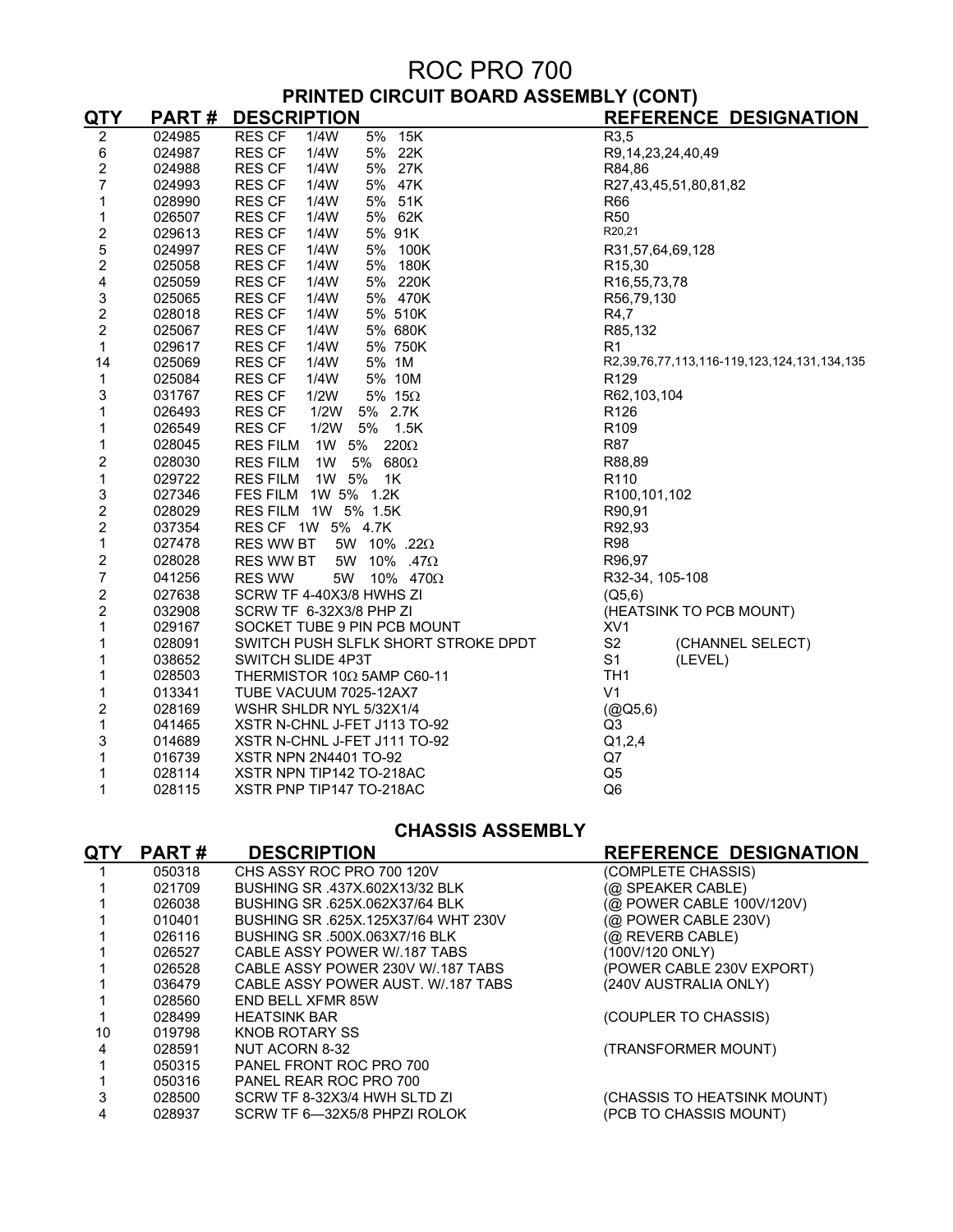# ROC PRO 700 **PRINTED CIRCUIT BOARD ASSEMBLY (CONT)**

| <u>QTY</u>              | <b>PART#</b> | <b>DESCRIPTION</b>                       | <b>REFERENCE DESIGNATION</b>                |
|-------------------------|--------------|------------------------------------------|---------------------------------------------|
| $\overline{2}$          | 024985       | <b>RES CF</b><br>15K<br>1/4W<br>5%       | R3,5                                        |
| 6                       | 024987       | <b>RES CF</b><br>1/4W<br>5% 22K          | R9, 14, 23, 24, 40, 49                      |
| $\overline{\mathbf{c}}$ | 024988       | <b>RES CF</b><br>1/4W<br>5% 27K          | R84,86                                      |
| $\overline{7}$          | 024993       | 5% 47K<br><b>RES CF</b><br>1/4W          | R27,43,45,51,80,81,82                       |
| 1                       | 028990       | 5% 51K<br><b>RES CF</b><br>1/4W          | R66                                         |
| 1                       | 026507       | <b>RES CF</b><br>5% 62K<br>1/4W          | <b>R50</b>                                  |
| $\overline{\mathbf{c}}$ | 029613       | 5% 91K<br><b>RES CF</b><br>1/4W          | R20,21                                      |
| 5                       | 024997       | <b>RES CF</b><br>1/4W<br>5% 100K         | R31,57,64,69,128                            |
| $\overline{c}$          | 025058       | 5% 180K<br><b>RES CF</b><br>1/4W         | R <sub>15</sub> ,30                         |
| 4                       | 025059       | 5% 220K<br><b>RES CF</b><br>1/4W         | R <sub>16</sub> , 55, 73, 78                |
| 3                       | 025065       | 1/4W<br>5% 470K<br><b>RES CF</b>         | R56,79,130                                  |
| $\overline{\mathbf{c}}$ | 028018       | <b>RES CF</b><br>1/4W<br>5% 510K         | R4,7                                        |
| $\overline{c}$          | 025067       | 5% 680K<br>1/4W<br><b>RES CF</b>         | R85,132                                     |
| $\mathbf{1}$            | 029617       | 5% 750K<br><b>RES CF</b><br>1/4W         | R1                                          |
| 14                      | 025069       | <b>RES CF</b><br>1/4W<br>5% 1M           | R2,39,76,77,113,116-119,123,124,131,134,135 |
| 1                       | 025084       | 5% 10M<br><b>RES CF</b><br>1/4W          | R <sub>129</sub>                            |
| 3                       | 031767       | 1/2W<br>5% $15\Omega$<br><b>RES CF</b>   | R62,103,104                                 |
| 1                       | 026493       | <b>RES CF</b><br>1/2W<br>5% 2.7K         | R <sub>126</sub>                            |
| 1                       | 026549       | <b>RES CF</b><br>1/2W<br>5% 1.5K         | R <sub>109</sub>                            |
| 1                       | 028045       | 1W 5%<br>220 $\Omega$<br><b>RES FILM</b> | <b>R87</b>                                  |
| 2                       | 028030       | <b>RES FILM</b><br>1W<br>5% 680 $\Omega$ | R88,89                                      |
| $\mathbf{1}$            | 029722       | 1W 5%<br><b>RES FILM</b><br>1K           | R <sub>110</sub>                            |
| 3                       | 027346       | FES FILM 1W 5% 1.2K                      | R <sub>100</sub> , 101, 102                 |
| $\frac{2}{2}$           | 028029       | RES FILM 1W 5% 1.5K                      | R90,91                                      |
|                         | 037354       | RES CF 1W 5% 4.7K                        | R92,93                                      |
| $\mathbf{1}$            | 027478       | RES WW BT<br>5W 10% .22 $\Omega$         | <b>R98</b>                                  |
| $\overline{\mathbf{c}}$ | 028028       | RES WW BT<br>5W 10% .47Ω                 | R96,97                                      |
| $\overline{7}$          | 041256       | 5W 10% 470 $\Omega$<br><b>RES WW</b>     | R32-34, 105-108                             |
| $\overline{\mathbf{c}}$ | 027638       | SCRW TF 4-40X3/8 HWHS ZI                 | (Q5, 6)                                     |
| $\overline{2}$          | 032908       | SCRW TF 6-32X3/8 PHP ZI                  | (HEATSINK TO PCB MOUNT)                     |
| 1                       | 029167       | SOCKET TUBE 9 PIN PCB MOUNT              | XV <sub>1</sub>                             |
| 1                       | 028091       | SWITCH PUSH SLFLK SHORT STROKE DPDT      | S <sub>2</sub><br>(CHANNEL SELECT)          |
| 1                       | 038652       | SWITCH SLIDE 4P3T                        | S <sub>1</sub><br>(LEVEL)                   |
| 1                       | 028503       | THERMISTOR 10 $\Omega$ 5AMP C60-11       | TH <sub>1</sub>                             |
| 1                       | 013341       | TUBE VACUUM 7025-12AX7                   | V <sub>1</sub>                              |
| $\overline{c}$          | 028169       | WSHR SHLDR NYL 5/32X1/4                  | (QQ5, 6)                                    |
| $\mathbf{1}$            | 041465       | XSTR N-CHNL J-FET J113 TO-92             | Q <sub>3</sub>                              |
| 3                       | 014689       | XSTR N-CHNL J-FET J111 TO-92             | Q1,2,4                                      |
| 1                       | 016739       | XSTR NPN 2N4401 TO-92                    | Q7                                          |
| 1                       | 028114       | XSTR NPN TIP142 TO-218AC                 | Q <sub>5</sub>                              |
| 1                       | 028115       | XSTR PNP TIP147 TO-218AC                 | Q <sub>6</sub>                              |

### **CHASSIS ASSEMBLY**

| QTY | <b>PART#</b> | <b>DESCRIPTION</b>                 | <b>REFERENCE DESIGNATION</b> |
|-----|--------------|------------------------------------|------------------------------|
|     | 050318       | CHS ASSY ROC PRO 700 120V          | (COMPLETE CHASSIS)           |
|     | 021709       | BUSHING SR 437X.602X13/32 BLK      | (@ SPEAKER CABLE)            |
|     | 026038       | BUSHING SR .625X.062X37/64 BLK     | (@ POWER CABLE 100V/120V)    |
|     | 010401       | BUSHING SR 625X 125X37/64 WHT 230V | (@ POWER CABLE 230V)         |
|     | 026116       | BUSHING SR .500X.063X7/16 BLK      | (@ REVERB CABLE)             |
|     | 026527       | CABLE ASSY POWER W/.187 TABS       | (100V/120 ONLY)              |
|     | 026528       | CABLE ASSY POWER 230V W/.187 TABS  | (POWER CABLE 230V EXPORT)    |
|     | 036479       | CABLE ASSY POWER AUST. W/.187 TABS | (240V AUSTRALIA ONLY)        |
|     | 028560       | <b>END BELL XFMR 85W</b>           |                              |
|     | 028499       | <b>HEATSINK BAR</b>                | (COUPLER TO CHASSIS)         |
| 10  | 019798       | KNOB ROTARY SS                     |                              |
|     | 028591       | NUT ACORN 8-32                     | (TRANSFORMER MOUNT)          |
|     | 050315       | PANEL FRONT ROC PRO 700            |                              |
|     | 050316       | PANEL REAR ROC PRO 700             |                              |
|     | 028500       | SCRW TF 8-32X3/4 HWH SLTD ZI       | (CHASSIS TO HEATSINK MOUNT)  |
|     | 028937       | SCRW TF 6-32X5/8 PHPZI ROLOK       | (PCB TO CHASSIS MOUNT)       |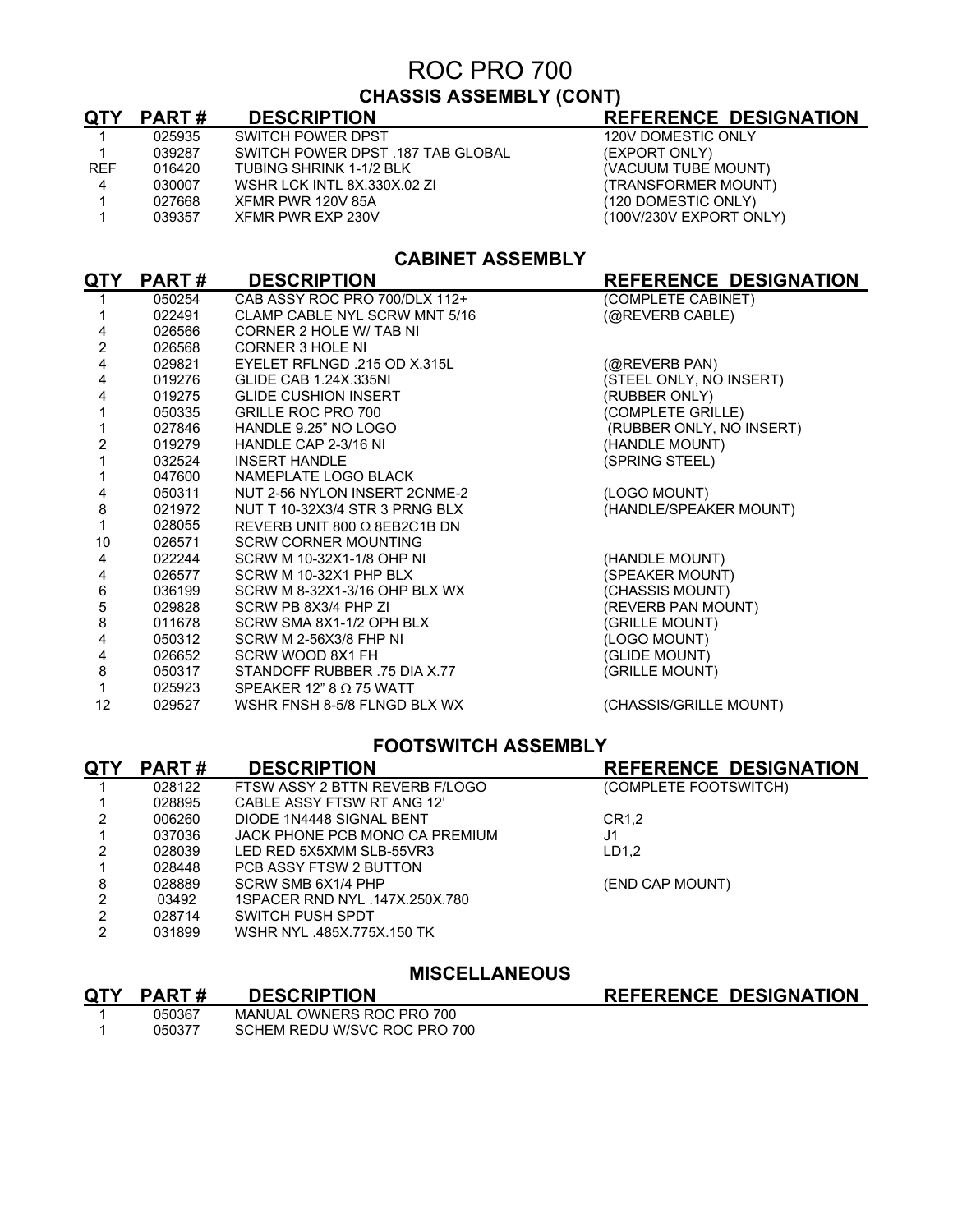## ROC PRO 700 **CHASSIS ASSEMBLY (CONT)**

| <b>QTY</b> | <b>PART#</b> | <b>DESCRIPTION</b>                | <b>REFERENCE DESIGNATION</b> |
|------------|--------------|-----------------------------------|------------------------------|
|            | 025935       | SWITCH POWER DPST                 | 120V DOMESTIC ONLY           |
|            | 039287       | SWITCH POWER DPST .187 TAB GLOBAL | (EXPORT ONLY)                |
| <b>REF</b> | 016420       | TUBING SHRINK 1-1/2 BLK           | (VACUUM TUBE MOUNT)          |
| 4          | 030007       | WSHR LCK INTL 8X.330X.02 ZI       | (TRANSFORMER MOUNT)          |
|            | 027668       | XFMR PWR 120V 85A                 | (120 DOMESTIC ONLY)          |
|            | 039357       | XFMR PWR EXP 230V                 | (100V/230V EXPORT ONLY)      |

## **CABINET ASSEMBLY**

| QTY            | <b>PART#</b> | <b>DESCRIPTION</b>                  | REFERENCE DESIGNATION    |
|----------------|--------------|-------------------------------------|--------------------------|
|                | 050254       | CAB ASSY ROC PRO 700/DLX 112+       | (COMPLETE CABINET)       |
|                | 022491       | CLAMP CABLE NYL SCRW MNT 5/16       | (@REVERB CABLE)          |
| 4              | 026566       | CORNER 2 HOLE W/ TAB NI             |                          |
| $\overline{2}$ | 026568       | <b>CORNER 3 HOLE NI</b>             |                          |
| 4              | 029821       | EYELET RFLNGD .215 OD X.315L        | (@REVERB PAN)            |
| 4              | 019276       | <b>GLIDE CAB 1.24X.335NI</b>        | (STEEL ONLY, NO INSERT)  |
| 4              | 019275       | <b>GLIDE CUSHION INSERT</b>         | (RUBBER ONLY)            |
|                | 050335       | <b>GRILLE ROC PRO 700</b>           | (COMPLETE GRILLE)        |
|                | 027846       | HANDLE 9.25" NO LOGO                | (RUBBER ONLY, NO INSERT) |
| 2              | 019279       | HANDLE CAP 2-3/16 NI                | (HANDLE MOUNT)           |
|                | 032524       | <b>INSERT HANDLE</b>                | (SPRING STEEL)           |
|                | 047600       | NAMEPLATE LOGO BLACK                |                          |
| 4              | 050311       | NUT 2-56 NYLON INSERT 2CNME-2       | (LOGO MOUNT)             |
| 8              | 021972       | NUT T 10-32X3/4 STR 3 PRNG BLX      | (HANDLE/SPEAKER MOUNT)   |
|                | 028055       | REVERB UNIT 800 $\Omega$ 8EB2C1B DN |                          |
| 10             | 026571       | <b>SCRW CORNER MOUNTING</b>         |                          |
| 4              | 022244       | SCRW M 10-32X1-1/8 OHP NI           | (HANDLE MOUNT)           |
| 4              | 026577       | SCRW M 10-32X1 PHP BLX              | (SPEAKER MOUNT)          |
| 6              | 036199       | SCRW M 8-32X1-3/16 OHP BLX WX       | (CHASSIS MOUNT)          |
| 5              | 029828       | SCRW PB 8X3/4 PHP ZI                | (REVERB PAN MOUNT)       |
| 8              | 011678       | SCRW SMA 8X1-1/2 OPH BLX            | (GRILLE MOUNT)           |
| 4              | 050312       | SCRW M 2-56X3/8 FHP NI              | (LOGO MOUNT)             |
| 4              | 026652       | SCRW WOOD 8X1 FH                    | (GLIDE MOUNT)            |
| 8              | 050317       | STANDOFF RUBBER .75 DIA X.77        | (GRILLE MOUNT)           |
|                | 025923       | SPEAKER 12" 8 $\Omega$ 75 WATT      |                          |
| 12             | 029527       | WSHR FNSH 8-5/8 FLNGD BLX WX        | (CHASSIS/GRILLE MOUNT)   |
|                |              |                                     |                          |

### **FOOTSWITCH ASSEMBLY**

| <b>QTY</b> | <b>PART#</b> | <b>DESCRIPTION</b>             | <b>REFERENCE DESIGNATION</b> |
|------------|--------------|--------------------------------|------------------------------|
|            | 028122       | FTSW ASSY 2 BTTN REVERB F/LOGO | (COMPLETE FOOTSWITCH)        |
|            | 028895       | CABLE ASSY FTSW RT ANG 12'     |                              |
| 2          | 006260       | DIODE 1N4448 SIGNAL BENT       | CR1.2                        |
|            | 037036       | JACK PHONE PCB MONO CA PREMIUM | J1                           |
|            | 028039       | LED RED 5X5XMM SLB-55VR3       | LD1.2                        |
|            | 028448       | PCB ASSY FTSW 2 BUTTON         |                              |
| 8          | 028889       | SCRW SMB 6X1/4 PHP             | (END CAP MOUNT)              |
| 2          | 03492        | 1SPACER RND NYL .147X.250X.780 |                              |
| 2          | 028714       | SWITCH PUSH SPDT               |                              |
| 2          | 031899       | WSHR NYL .485X.775X.150 TK     |                              |

## **MISCELLANEOUS**

**REFERENCE DESIGNATION** 

| QTY PART# | <b>DESCRIPTION</b>           |
|-----------|------------------------------|
| 050367    | MANUAL OWNERS ROC PRO 700    |
| 050377    | SCHEM REDU W/SVC ROC PRO 700 |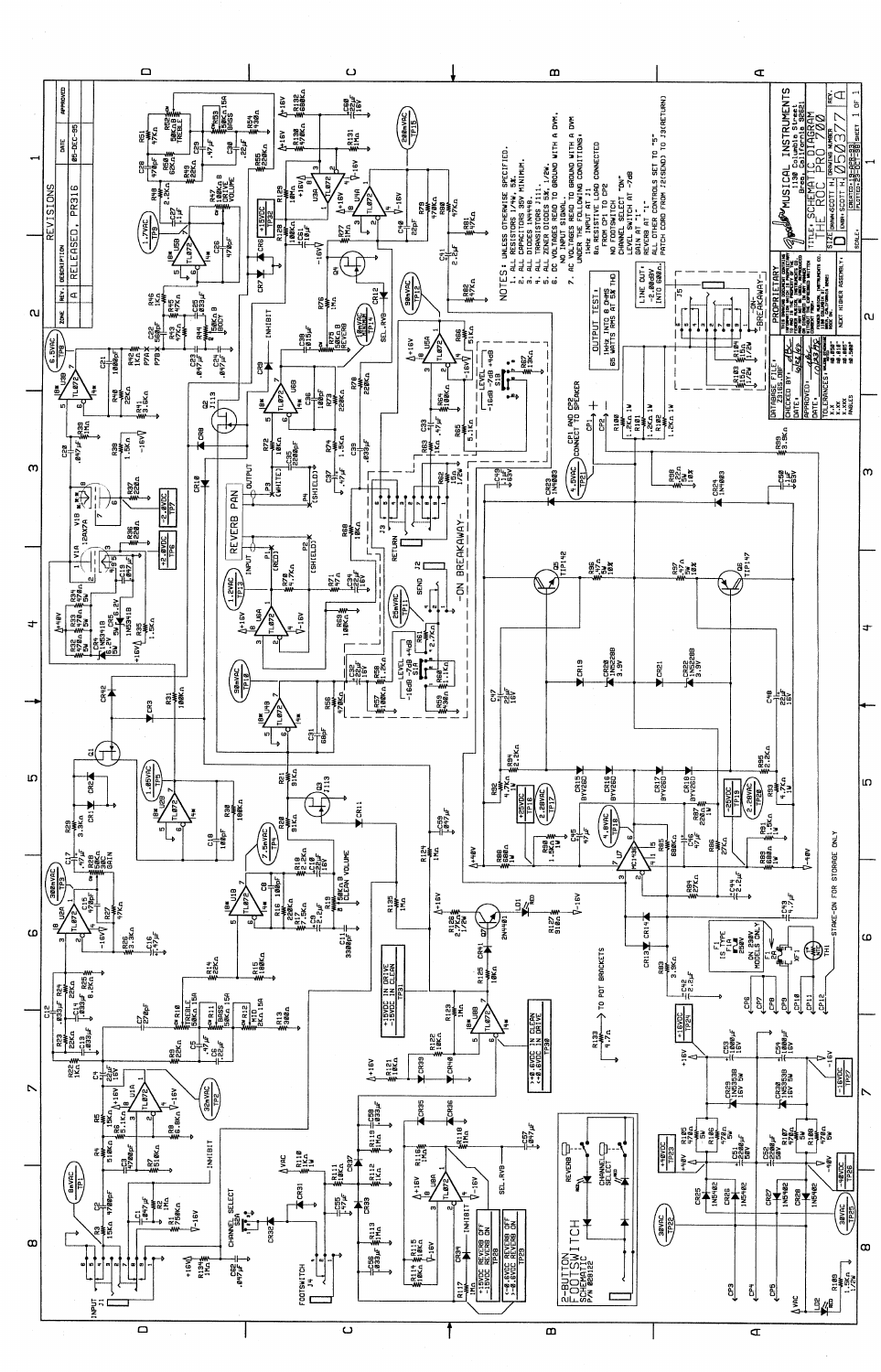